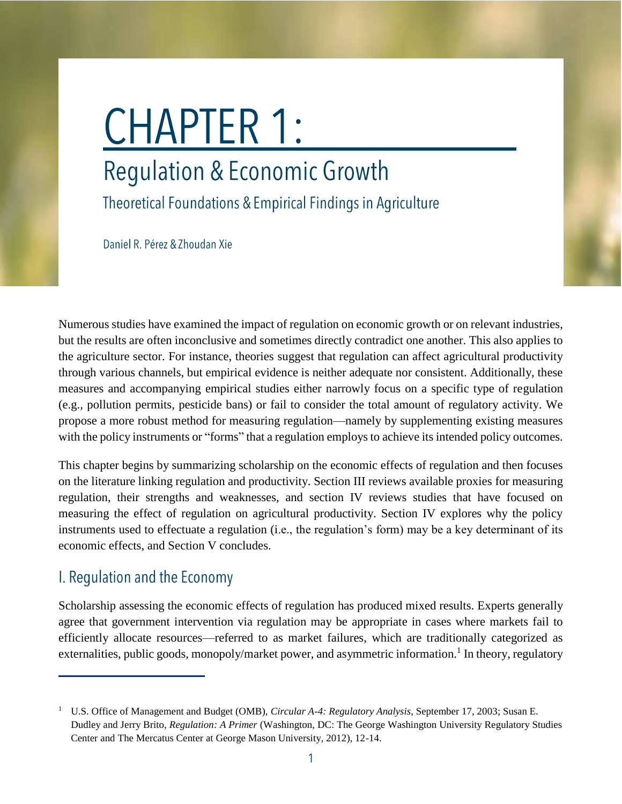# **CHAPTER 1:**

# **Regulation & Economic Growth**

Theoretical Foundations & Empirical Findings in Agriculture

Daniel R. Pérez & Zhoudan Xie

Numerous studies have examined the impact of regulation on economic growth or on relevant industries, but the results are often inconclusive and sometimes directly contradict one another. This also applies to the agriculture sector. For instance, theories suggest that regulation can affect agricultural productivity through various channels, but empirical evidence is neither adequate nor consistent. Additionally, these measures and accompanying empirical studies either narrowly focus on a specific type of regulation (e.g., pollution permits, pesticide bans) or fail to consider the total amount of regulatory activity. We propose a more robust method for measuring regulation—namely by supplementing existing measures with the policy instruments or "forms" that a regulation employs to achieve its intended policy outcomes.

This chapter begins by summarizing scholarship on the economic effects of regulation and then focuses on the literature linking regulation and productivity. Section III reviews available proxies for measuring regulation, their strengths and weaknesses, and section IV reviews studies that have focused on measuring the effect of regulation on agricultural productivity. Section IV explores why the policy instruments used to effectuate a regulation (i.e., the regulation's form) may be a key determinant of its economic effects, and Section V concludes.

# I. Regulation and the Economy

Scholarship assessing the economic effects of regulation has produced mixed results. Experts generally agree that government intervention via regulation may be appropriate in cases where markets fail to efficiently allocate resources—referred to as market failures, which are traditionally categorized as externalities, public goods, monopoly/market power, and asymmetric information.<sup>1</sup> In theory, regulatory

<sup>1</sup> U.S. Office of Management and Budget (OMB), *Circular A-4: Regulatory Analysis*, September 17, 2003; Susan E. Dudley and Jerry Brito, *Regulation: A Primer* (Washington, DC: The George Washington University Regulatory Studies Center and The Mercatus Center at George Mason University, 2012), 12-14.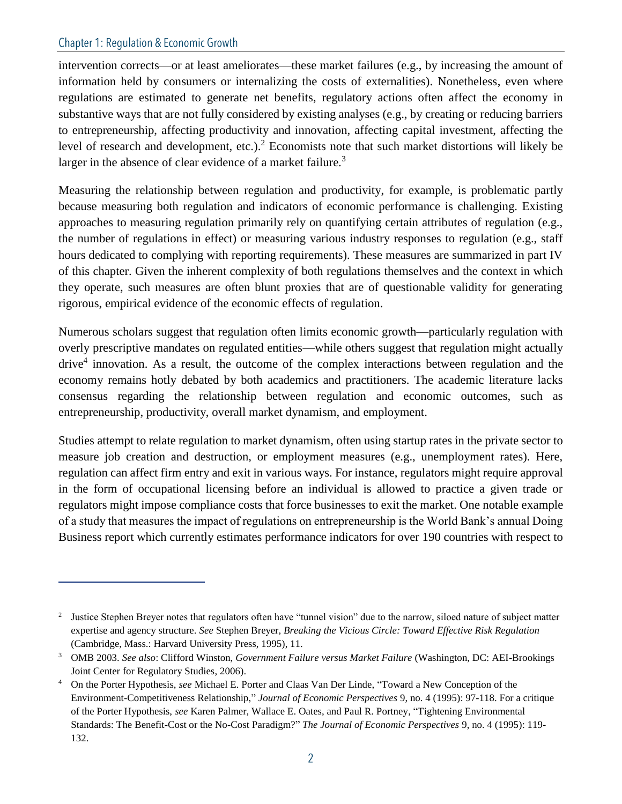intervention corrects—or at least ameliorates—these market failures (e.g., by increasing the amount of information held by consumers or internalizing the costs of externalities). Nonetheless, even where regulations are estimated to generate net benefits, regulatory actions often affect the economy in substantive ways that are not fully considered by existing analyses (e.g., by creating or reducing barriers to entrepreneurship, affecting productivity and innovation, affecting capital investment, affecting the level of research and development, etc.).<sup>2</sup> Economists note that such market distortions will likely be larger in the absence of clear evidence of a market failure.<sup>3</sup>

Measuring the relationship between regulation and productivity, for example, is problematic partly because measuring both regulation and indicators of economic performance is challenging. Existing approaches to measuring regulation primarily rely on quantifying certain attributes of regulation (e.g., the number of regulations in effect) or measuring various industry responses to regulation (e.g., staff hours dedicated to complying with reporting requirements). These measures are summarized in part IV of this chapter. Given the inherent complexity of both regulations themselves and the context in which they operate, such measures are often blunt proxies that are of questionable validity for generating rigorous, empirical evidence of the economic effects of regulation.

Numerous scholars suggest that regulation often limits economic growth—particularly regulation with overly prescriptive mandates on regulated entities—while others suggest that regulation might actually drive<sup>4</sup> innovation. As a result, the outcome of the complex interactions between regulation and the economy remains hotly debated by both academics and practitioners. The academic literature lacks consensus regarding the relationship between regulation and economic outcomes, such as entrepreneurship, productivity, overall market dynamism, and employment.

Studies attempt to relate regulation to market dynamism, often using startup rates in the private sector to measure job creation and destruction, or employment measures (e.g., unemployment rates). Here, regulation can affect firm entry and exit in various ways. For instance, regulators might require approval in the form of occupational licensing before an individual is allowed to practice a given trade or regulators might impose compliance costs that force businesses to exit the market. One notable example of a study that measures the impact of regulations on entrepreneurship is the World Bank's annual Doing Business report which currently estimates performance indicators for over 190 countries with respect to

<sup>&</sup>lt;sup>2</sup> Justice Stephen Breyer notes that regulators often have "tunnel vision" due to the narrow, siloed nature of subject matter expertise and agency structure. *See* Stephen Breyer, *Breaking the Vicious Circle: Toward Effective Risk Regulation* (Cambridge, Mass.: Harvard University Press, 1995), 11.

<sup>3</sup> OMB 2003. *See also*: Clifford Winston, *Government Failure versus Market Failure* (Washington, DC: AEI-Brookings Joint Center for Regulatory Studies, 2006).

<sup>4</sup> On the Porter Hypothesis, *see* Michael E. Porter and Claas Van Der Linde, "Toward a New Conception of the Environment-Competitiveness Relationship," *Journal of Economic Perspectives* 9, no. 4 (1995): 97-118. For a critique of the Porter Hypothesis, *see* Karen Palmer, Wallace E. Oates, and Paul R. Portney, "Tightening Environmental Standards: The Benefit-Cost or the No-Cost Paradigm?" *The Journal of Economic Perspectives* 9, no. 4 (1995): 119- 132.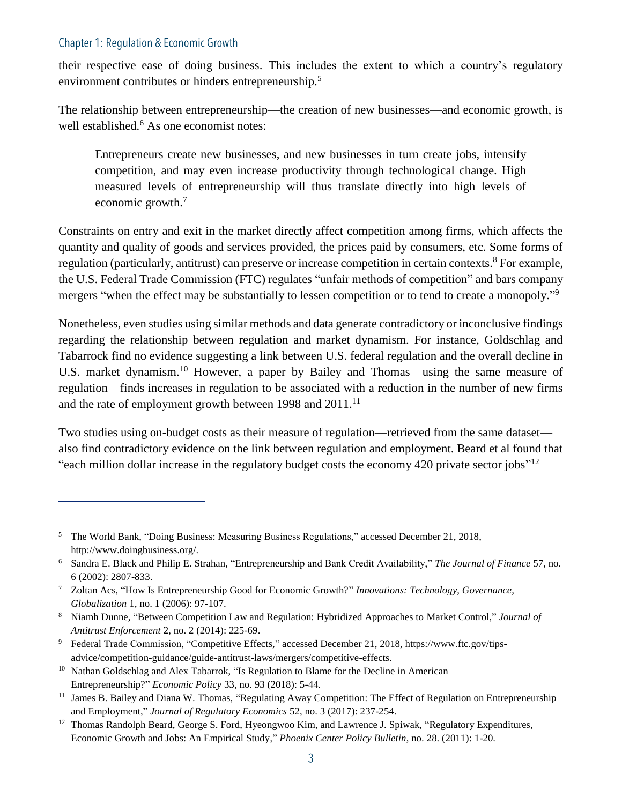their respective ease of doing business. This includes the extent to which a country's regulatory environment contributes or hinders entrepreneurship.<sup>5</sup>

The relationship between entrepreneurship—the creation of new businesses—and economic growth, is well established.<sup>6</sup> As one economist notes:

Entrepreneurs create new businesses, and new businesses in turn create jobs, intensify competition, and may even increase productivity through technological change. High measured levels of entrepreneurship will thus translate directly into high levels of economic growth.<sup>7</sup>

Constraints on entry and exit in the market directly affect competition among firms, which affects the quantity and quality of goods and services provided, the prices paid by consumers, etc. Some forms of regulation (particularly, antitrust) can preserve or increase competition in certain contexts.<sup>8</sup> For example, the U.S. Federal Trade Commission (FTC) regulates "unfair methods of competition" and bars company mergers "when the effect may be substantially to lessen competition or to tend to create a monopoly."<sup>9</sup>

Nonetheless, even studies using similar methods and data generate contradictory or inconclusive findings regarding the relationship between regulation and market dynamism. For instance, Goldschlag and Tabarrock find no evidence suggesting a link between U.S. federal regulation and the overall decline in U.S. market dynamism.<sup>10</sup> However, a paper by Bailey and Thomas—using the same measure of regulation—finds increases in regulation to be associated with a reduction in the number of new firms and the rate of employment growth between 1998 and 2011.<sup>11</sup>

Two studies using on-budget costs as their measure of regulation—retrieved from the same dataset also find contradictory evidence on the link between regulation and employment. Beard et al found that "each million dollar increase in the regulatory budget costs the economy 420 private sector jobs"<sup>12</sup>

<sup>5</sup> The World Bank, "Doing Business: Measuring Business Regulations," accessed December 21, 2018, http://www.doingbusiness.org/.

<sup>6</sup> Sandra E. Black and Philip E. Strahan, "Entrepreneurship and Bank Credit Availability," *The Journal of Finance* 57, no. 6 (2002): 2807-833.

<sup>7</sup> Zoltan Acs, "How Is Entrepreneurship Good for Economic Growth?" *Innovations: Technology, Governance, Globalization* 1, no. 1 (2006): 97-107.

<sup>8</sup> Niamh Dunne, "Between Competition Law and Regulation: Hybridized Approaches to Market Control," *Journal of Antitrust Enforcement* 2, no. 2 (2014): 225-69.

<sup>&</sup>lt;sup>9</sup> Federal Trade Commission, "Competitive Effects," accessed December 21, 2018, https://www.ftc.gov/tipsadvice/competition-guidance/guide-antitrust-laws/mergers/competitive-effects.

<sup>&</sup>lt;sup>10</sup> Nathan Goldschlag and Alex Tabarrok, "Is Regulation to Blame for the Decline in American Entrepreneurship?" *Economic Policy* 33, no. 93 (2018): 5-44.

<sup>&</sup>lt;sup>11</sup> James B. Bailey and Diana W. Thomas, "Regulating Away Competition: The Effect of Regulation on Entrepreneurship [and Employment,"](https://ideas.repec.org/a/kap/regeco/v52y2017i3d10.1007_s11149-017-9343-9.html) *[Journal of Regulatory Economics](https://ideas.repec.org/s/kap/regeco.html)* 52, no. 3 (2017): 237-254.

<sup>&</sup>lt;sup>12</sup> Thomas Randolph Beard, George S. Ford, Hyeongwoo Kim, and Lawrence J. Spiwak, "Regulatory Expenditures, Economic Growth and Jobs: An Empirical Study," *Phoenix Center Policy Bulletin*, no. 28. (2011): 1-20.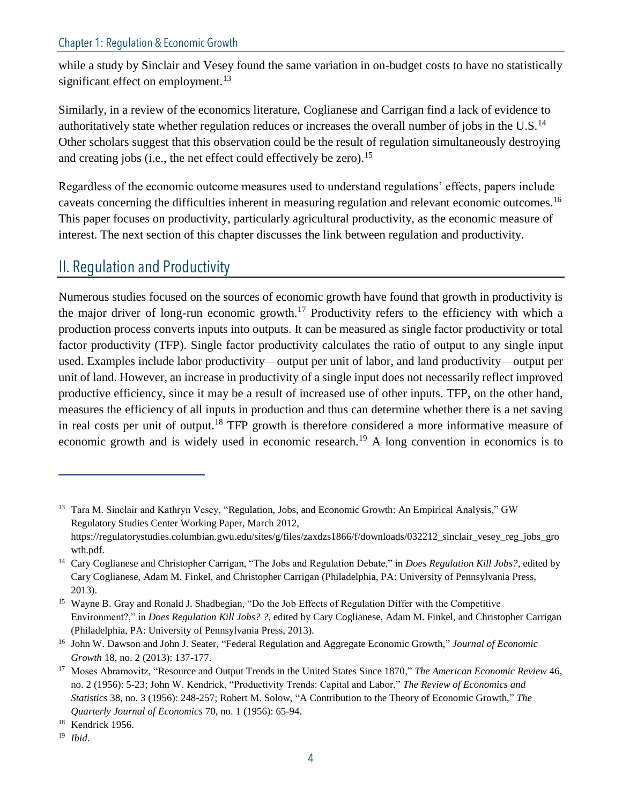while a study by Sinclair and Vesey found the same variation in on-budget costs to have no statistically significant effect on employment.<sup>13</sup>

Similarly, in a review of the economics literature, Coglianese and Carrigan find a lack of evidence to authoritatively state whether regulation reduces or increases the overall number of jobs in the U.S.<sup>14</sup> Other scholars suggest that this observation could be the result of regulation simultaneously destroying and creating jobs (i.e., the net effect could effectively be zero).<sup>15</sup>

Regardless of the economic outcome measures used to understand regulations' effects, papers include caveats concerning the difficulties inherent in measuring regulation and relevant economic outcomes.<sup>16</sup> This paper focuses on productivity, particularly agricultural productivity, as the economic measure of interest. The next section of this chapter discusses the link between regulation and productivity.

# II. Regulation and Productivity

Numerous studies focused on the sources of economic growth have found that growth in productivity is the major driver of long-run economic growth.<sup>17</sup> Productivity refers to the efficiency with which a production process converts inputs into outputs. It can be measured as single factor productivity or total factor productivity (TFP). Single factor productivity calculates the ratio of output to any single input used. Examples include labor productivity—output per unit of labor, and land productivity—output per unit of land. However, an increase in productivity of a single input does not necessarily reflect improved productive efficiency, since it may be a result of increased use of other inputs. TFP, on the other hand, measures the efficiency of all inputs in production and thus can determine whether there is a net saving in real costs per unit of output.<sup>18</sup> TFP growth is therefore considered a more informative measure of economic growth and is widely used in economic research.<sup>19</sup> A long convention in economics is to

<sup>&</sup>lt;sup>13</sup> Tara M. Sinclair and Kathryn Vesey, "Regulation, Jobs, and Economic Growth: An Empirical Analysis," GW Regulatory Studies Center Working Paper, March 2012, https://regulatorystudies.columbian.gwu.edu/sites/g/files/zaxdzs1866/f/downloads/032212\_sinclair\_vesey\_reg\_jobs\_gro wth.pdf.

<sup>14</sup> Cary Coglianese and Christopher Carrigan, "The Jobs and Regulation Debate," in *Does Regulation Kill Jobs?*, edited by Cary Coglianese, Adam M. Finkel, and Christopher Carrigan (Philadelphia, PA: University of Pennsylvania Press, 2013).

<sup>15</sup> Wayne B. Gray and Ronald J. Shadbegian, "Do the Job Effects of Regulation Differ with the Competitive Environment?," in *Does Regulation Kill Jobs? ?*, edited by Cary Coglianese, Adam M. Finkel, and Christopher Carrigan (Philadelphia, PA: University of Pennsylvania Press, 2013).

<sup>16</sup> John W. Dawson and John J. Seater, "Federal Regulation and Aggregate Economic Growth," *Journal of Economic Growth* 18, no. 2 (2013): 137-177.

<sup>17</sup> Moses Abramovitz, "Resource and Output Trends in the United States Since 1870," *The American Economic Review* 46, no. 2 (1956): 5-23; John W. Kendrick, "Productivity Trends: Capital and Labor," *The Review of Economics and Statistics* 38, no. 3 (1956): 248-257; Robert M. Solow, "A Contribution to the Theory of Economic Growth," *The Quarterly Journal of Economics* 70, no. 1 (1956): 65-94.

<sup>&</sup>lt;sup>18</sup> Kendrick 1956.

<sup>19</sup> *Ibid*.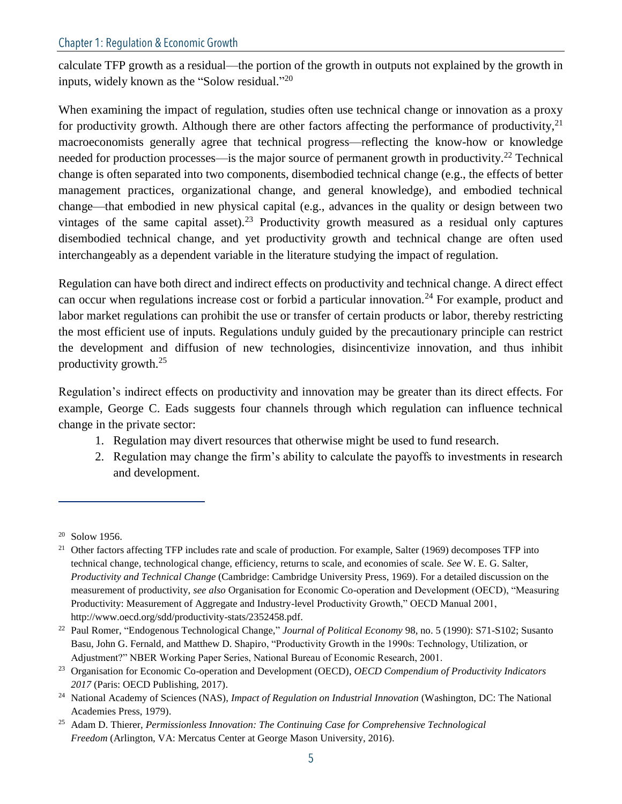calculate TFP growth as a residual—the portion of the growth in outputs not explained by the growth in inputs, widely known as the "Solow residual."<sup>20</sup>

When examining the impact of regulation, studies often use technical change or innovation as a proxy for productivity growth. Although there are other factors affecting the performance of productivity,  $2<sup>1</sup>$ macroeconomists generally agree that technical progress—reflecting the know-how or knowledge needed for production processes—is the major source of permanent growth in productivity.<sup>22</sup> Technical change is often separated into two components, disembodied technical change (e.g., the effects of better management practices, organizational change, and general knowledge), and embodied technical change—that embodied in new physical capital (e.g., advances in the quality or design between two vintages of the same capital asset).<sup>23</sup> Productivity growth measured as a residual only captures disembodied technical change, and yet productivity growth and technical change are often used interchangeably as a dependent variable in the literature studying the impact of regulation.

Regulation can have both direct and indirect effects on productivity and technical change. A direct effect can occur when regulations increase cost or forbid a particular innovation.<sup>24</sup> For example, product and labor market regulations can prohibit the use or transfer of certain products or labor, thereby restricting the most efficient use of inputs. Regulations unduly guided by the precautionary principle can restrict the development and diffusion of new technologies, disincentivize innovation, and thus inhibit productivity growth.<sup>25</sup>

Regulation's indirect effects on productivity and innovation may be greater than its direct effects. For example, George C. Eads suggests four channels through which regulation can influence technical change in the private sector:

- 1. Regulation may divert resources that otherwise might be used to fund research.
- 2. Regulation may change the firm's ability to calculate the payoffs to investments in research and development.

<sup>20</sup> Solow 1956.

<sup>&</sup>lt;sup>21</sup> Other factors affecting TFP includes rate and scale of production. For example, Salter (1969) decomposes TFP into technical change, technological change, efficiency, returns to scale, and economies of scale. *See* W. E. G. Salter, *Productivity and Technical Change* (Cambridge: Cambridge University Press, 1969). For a detailed discussion on the measurement of productivity, *see also* Organisation for Economic Co-operation and Development (OECD), "Measuring Productivity: Measurement of Aggregate and Industry-level Productivity Growth," OECD Manual 2001, http://www.oecd.org/sdd/productivity-stats/2352458.pdf.

<sup>22</sup> Paul Romer, "Endogenous Technological Change," *Journal of Political Economy* 98, no. 5 (1990): S71-S102; Susanto Basu, John G. Fernald, and Matthew D. Shapiro, "Productivity Growth in the 1990s: Technology, Utilization, or Adjustment?" NBER Working Paper Series, National Bureau of Economic Research, 2001.

<sup>23</sup> Organisation for Economic Co-operation and Development (OECD), *OECD Compendium of Productivity Indicators 2017* (Paris: OECD Publishing, 2017).

<sup>24</sup> National Academy of Sciences (NAS), *Impact of Regulation on Industrial Innovation* (Washington, DC: The National Academies Press, 1979).

<sup>25</sup> Adam D. Thierer, *Permissionless Innovation: The Continuing Case for Comprehensive Technological Freedom* (Arlington, VA: Mercatus Center at George Mason University, 2016).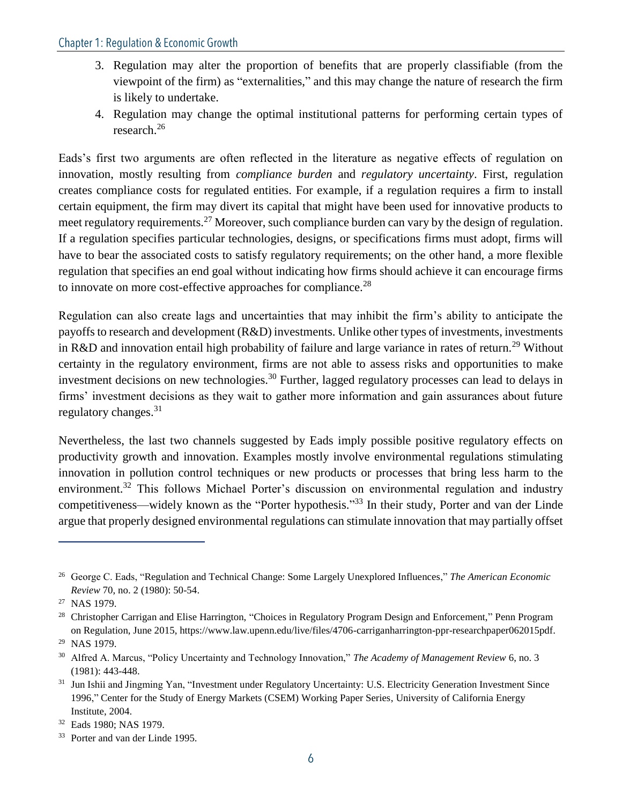- 3. Regulation may alter the proportion of benefits that are properly classifiable (from the viewpoint of the firm) as "externalities," and this may change the nature of research the firm is likely to undertake.
- 4. Regulation may change the optimal institutional patterns for performing certain types of research.<sup>26</sup>

Eads's first two arguments are often reflected in the literature as negative effects of regulation on innovation, mostly resulting from *compliance burden* and *regulatory uncertainty*. First, regulation creates compliance costs for regulated entities. For example, if a regulation requires a firm to install certain equipment, the firm may divert its capital that might have been used for innovative products to meet regulatory requirements.<sup>27</sup> Moreover, such compliance burden can vary by the design of regulation. If a regulation specifies particular technologies, designs, or specifications firms must adopt, firms will have to bear the associated costs to satisfy regulatory requirements; on the other hand, a more flexible regulation that specifies an end goal without indicating how firms should achieve it can encourage firms to innovate on more cost-effective approaches for compliance.<sup>28</sup>

Regulation can also create lags and uncertainties that may inhibit the firm's ability to anticipate the payoffs to research and development (R&D) investments. Unlike other types of investments, investments in R&D and innovation entail high probability of failure and large variance in rates of return.<sup>29</sup> Without certainty in the regulatory environment, firms are not able to assess risks and opportunities to make investment decisions on new technologies.<sup>30</sup> Further, lagged regulatory processes can lead to delays in firms' investment decisions as they wait to gather more information and gain assurances about future regulatory changes. $31$ 

Nevertheless, the last two channels suggested by Eads imply possible positive regulatory effects on productivity growth and innovation. Examples mostly involve environmental regulations stimulating innovation in pollution control techniques or new products or processes that bring less harm to the environment.<sup>32</sup> This follows Michael Porter's discussion on environmental regulation and industry competitiveness—widely known as the "Porter hypothesis."<sup>33</sup> In their study, Porter and van der Linde argue that properly designed environmental regulations can stimulate innovation that may partially offset

<sup>26</sup> George C. Eads, "Regulation and Technical Change: Some Largely Unexplored Influences," *The American Economic Review* 70, no. 2 (1980): 50-54.

<sup>27</sup> NAS 1979.

<sup>&</sup>lt;sup>28</sup> Christopher Carrigan and Elise Harrington, "Choices in Regulatory Program Design and Enforcement," Penn Program on Regulation, June 2015, https://www.law.upenn.edu/live/files/4706-carriganharrington-ppr-researchpaper062015pdf.

<sup>29</sup> NAS 1979.

<sup>30</sup> Alfred A. Marcus, "Policy Uncertainty and Technology Innovation," *The Academy of Management Review* 6, no. 3 (1981): 443-448.

<sup>&</sup>lt;sup>31</sup> Jun Ishii and Jingming Yan, "Investment under Regulatory Uncertainty: U.S. Electricity Generation Investment Since 1996," Center for the Study of Energy Markets (CSEM) Working Paper Series, University of California Energy Institute, 2004.

<sup>32</sup> Eads 1980; NAS 1979.

<sup>33</sup> Porter and van der Linde 1995.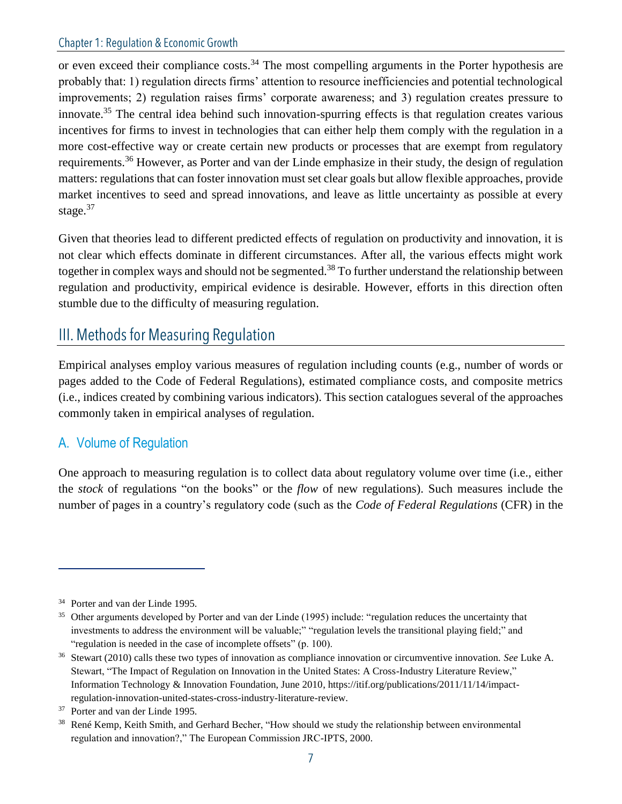or even exceed their compliance costs.<sup>34</sup> The most compelling arguments in the Porter hypothesis are probably that: 1) regulation directs firms' attention to resource inefficiencies and potential technological improvements; 2) regulation raises firms' corporate awareness; and 3) regulation creates pressure to innovate.<sup>35</sup> The central idea behind such innovation-spurring effects is that regulation creates various incentives for firms to invest in technologies that can either help them comply with the regulation in a more cost-effective way or create certain new products or processes that are exempt from regulatory requirements.<sup>36</sup> However, as Porter and van der Linde emphasize in their study, the design of regulation matters: regulations that can foster innovation must set clear goals but allow flexible approaches, provide market incentives to seed and spread innovations, and leave as little uncertainty as possible at every stage. $37$ 

Given that theories lead to different predicted effects of regulation on productivity and innovation, it is not clear which effects dominate in different circumstances. After all, the various effects might work together in complex ways and should not be segmented.<sup>38</sup> To further understand the relationship between regulation and productivity, empirical evidence is desirable. However, efforts in this direction often stumble due to the difficulty of measuring regulation.

## III. Methods for Measuring Regulation

Empirical analyses employ various measures of regulation including counts (e.g., number of words or pages added to the Code of Federal Regulations), estimated compliance costs, and composite metrics (i.e., indices created by combining various indicators). This section catalogues several of the approaches commonly taken in empirical analyses of regulation.

#### A. Volume of Regulation

One approach to measuring regulation is to collect data about regulatory volume over time (i.e., either the *stock* of regulations "on the books" or the *flow* of new regulations). Such measures include the number of pages in a country's regulatory code (such as the *Code of Federal Regulations* (CFR) in the

<sup>34</sup> Porter and van der Linde 1995.

<sup>&</sup>lt;sup>35</sup> Other arguments developed by Porter and van der Linde (1995) include: "regulation reduces the uncertainty that investments to address the environment will be valuable;" "regulation levels the transitional playing field;" and "regulation is needed in the case of incomplete offsets" (p. 100).

<sup>36</sup> Stewart (2010) calls these two types of innovation as compliance innovation or circumventive innovation. *See* Luke A. Stewart, "The Impact of Regulation on Innovation in the United States: A Cross-Industry Literature Review," Information Technology & Innovation Foundation, June 2010, https://itif.org/publications/2011/11/14/impactregulation-innovation-united-states-cross-industry-literature-review.

<sup>37</sup> Porter and van der Linde 1995.

<sup>&</sup>lt;sup>38</sup> René Kemp, Keith Smith, and Gerhard Becher, "How should we study the relationship between environmental regulation and innovation?," The European Commission JRC-IPTS, 2000.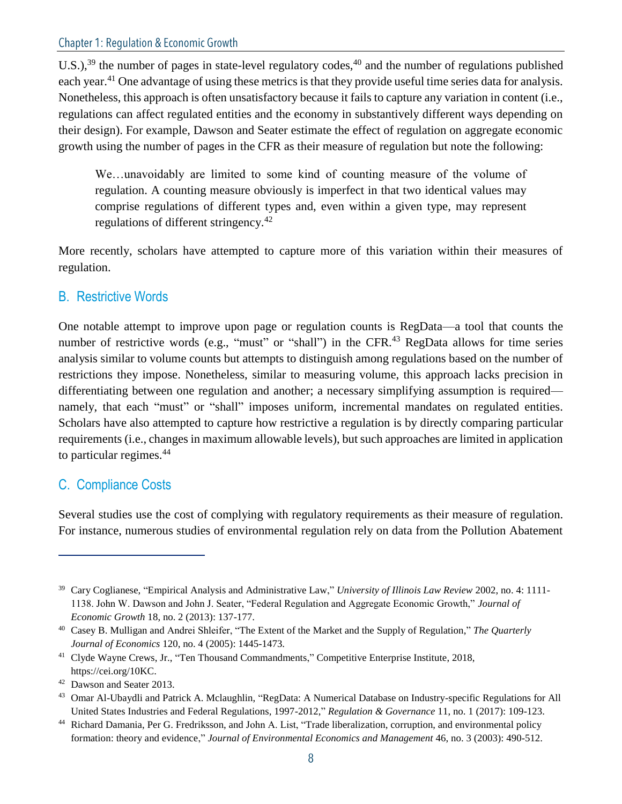U.S.),<sup>39</sup> the number of pages in state-level regulatory codes,<sup>40</sup> and the number of regulations published each year.<sup>41</sup> One advantage of using these metrics is that they provide useful time series data for analysis. Nonetheless, this approach is often unsatisfactory because it fails to capture any variation in content (i.e., regulations can affect regulated entities and the economy in substantively different ways depending on their design). For example, Dawson and Seater estimate the effect of regulation on aggregate economic growth using the number of pages in the CFR as their measure of regulation but note the following:

We…unavoidably are limited to some kind of counting measure of the volume of regulation. A counting measure obviously is imperfect in that two identical values may comprise regulations of different types and, even within a given type, may represent regulations of different stringency.<sup>42</sup>

More recently, scholars have attempted to capture more of this variation within their measures of regulation.

#### B. Restrictive Words

One notable attempt to improve upon page or regulation counts is RegData—a tool that counts the number of restrictive words (e.g., "must" or "shall") in the CFR.<sup>43</sup> RegData allows for time series analysis similar to volume counts but attempts to distinguish among regulations based on the number of restrictions they impose. Nonetheless, similar to measuring volume, this approach lacks precision in differentiating between one regulation and another; a necessary simplifying assumption is required namely, that each "must" or "shall" imposes uniform, incremental mandates on regulated entities. Scholars have also attempted to capture how restrictive a regulation is by directly comparing particular requirements (i.e., changes in maximum allowable levels), but such approaches are limited in application to particular regimes.<sup>44</sup>

#### C. Compliance Costs

Several studies use the cost of complying with regulatory requirements as their measure of regulation. For instance, numerous studies of environmental regulation rely on data from the Pollution Abatement

<sup>39</sup> Cary Coglianese, "Empirical Analysis and Administrative Law," *University of Illinois Law Review* 2002, no. 4: 1111- 1138. John W. Dawson and John J. Seater, "Federal Regulation and Aggregate Economic Growth," *Journal of Economic Growth* 18, no. 2 (2013): 137-177.

<sup>40</sup> Casey B. Mulligan and Andrei Shleifer, "The Extent of the Market and the Supply of Regulation," *The Quarterly Journal of Economics* 120, no. 4 (2005): 1445-1473.

<sup>41</sup> Clyde Wayne Crews, Jr., "Ten Thousand Commandments," Competitive Enterprise Institute, 2018, https://cei.org/10KC.

<sup>42</sup> Dawson and Seater 2013.

<sup>&</sup>lt;sup>43</sup> Omar Al-Ubaydli and Patrick A. Mclaughlin, "RegData: A Numerical Database on Industry-specific Regulations for All United States Industries and Federal Regulations, 1997-2012," *Regulation & Governance* 11, no. 1 (2017): 109-123.

<sup>44</sup> Richard Damania, Per G. Fredriksson, and John A. List, "Trade liberalization, corruption, and environmental policy formation: theory and evidence," *Journal of Environmental Economics and Management* 46, no. 3 (2003): 490-512.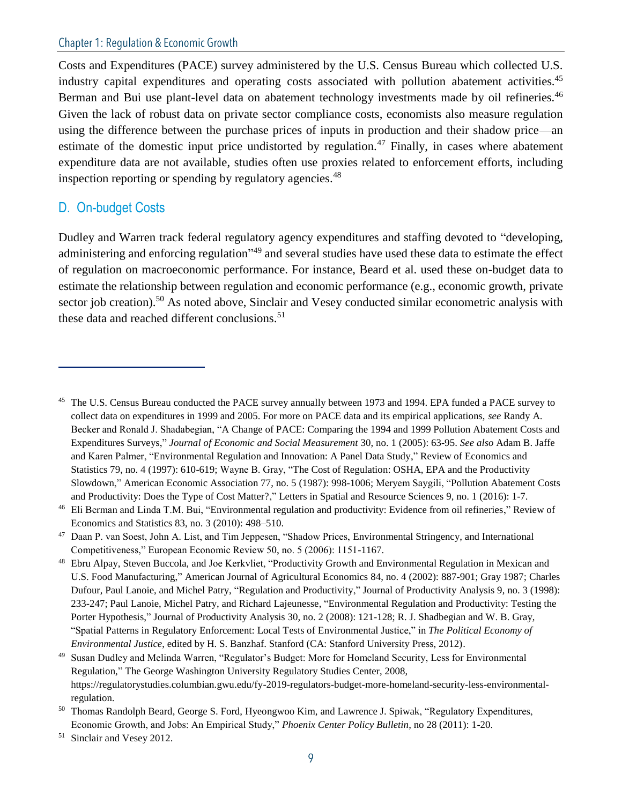Costs and Expenditures (PACE) survey administered by the U.S. Census Bureau which collected U.S. industry capital expenditures and operating costs associated with pollution abatement activities.<sup>45</sup> Berman and Bui use plant-level data on abatement technology investments made by oil refineries.<sup>46</sup> Given the lack of robust data on private sector compliance costs, economists also measure regulation using the difference between the purchase prices of inputs in production and their shadow price—an estimate of the domestic input price undistorted by regulation.<sup>47</sup> Finally, in cases where abatement expenditure data are not available, studies often use proxies related to enforcement efforts, including inspection reporting or spending by regulatory agencies.<sup>48</sup>

#### D. On-budget Costs

Dudley and Warren track federal regulatory agency expenditures and staffing devoted to "developing, administering and enforcing regulation"<sup>49</sup> and several studies have used these data to estimate the effect of regulation on macroeconomic performance. For instance, Beard et al. used these on-budget data to estimate the relationship between regulation and economic performance (e.g., economic growth, private sector job creation).<sup>50</sup> As noted above, Sinclair and Vesey conducted similar econometric analysis with these data and reached different conclusions.<sup>51</sup>

<sup>&</sup>lt;sup>45</sup> The U.S. Census Bureau conducted the PACE survey annually between 1973 and 1994. EPA funded a PACE survey to collect data on expenditures in 1999 and 2005. For more on PACE data and its empirical applications, *see* Randy A. Becker and Ronald J. Shadabegian, "A Change of PACE: Comparing the 1994 and 1999 Pollution Abatement Costs and Expenditures Surveys," *Journal of Economic and Social Measurement* 30, no. 1 (2005): 63-95. *See also* Adam B. Jaffe and Karen Palmer, "Environmental Regulation and Innovation: A Panel Data Study," Review of Economics and Statistics 79, no. 4 (1997): 610-619; Wayne B. Gray, "The Cost of Regulation: OSHA, EPA and the Productivity Slowdown," American Economic Association 77, no. 5 (1987): 998-1006; Meryem Saygili, "Pollution Abatement Costs and Productivity: Does the Type of Cost Matter?," Letters in Spatial and Resource Sciences 9, no. 1 (2016): 1-7.

<sup>&</sup>lt;sup>46</sup> Eli Berman and Linda T.M. Bui, "Environmental regulation and productivity: Evidence from oil refineries," Review of Economics and Statistics 83, no. 3 (2010): 498–510.

<sup>&</sup>lt;sup>47</sup> Daan P. van Soest, John A. List, and Tim Jeppesen, "Shadow Prices, Environmental Stringency, and International Competitiveness," European Economic Review 50, no. 5 (2006): 1151-1167.

<sup>&</sup>lt;sup>48</sup> Ebru Alpay, Steven Buccola, and Joe Kerkvliet, "Productivity Growth and Environmental Regulation in Mexican and U.S. Food Manufacturing," American Journal of Agricultural Economics 84, no. 4 (2002): 887-901; Gray 1987; Charles Dufour, Paul Lanoie, and Michel Patry, "Regulation and Productivity," Journal of Productivity Analysis 9, no. 3 (1998): 233-247; Paul Lanoie, Michel Patry, and Richard Lajeunesse, "Environmental Regulation and Productivity: Testing the Porter Hypothesis," Journal of Productivity Analysis 30, no. 2 (2008): 121-128; R. J. Shadbegian and W. B. Gray, "Spatial Patterns in Regulatory Enforcement: Local Tests of Environmental Justice," in *The Political Economy of Environmental Justice*, edited by H. S. Banzhaf. Stanford (CA: Stanford University Press, 2012).

<sup>49</sup> Susan Dudley and Melinda Warren, "Regulator's Budget: More for Homeland Security, Less for Environmental Regulation," The George Washington University Regulatory Studies Center, 2008, https://regulatorystudies.columbian.gwu.edu/fy-2019-regulators-budget-more-homeland-security-less-environmentalregulation.

<sup>&</sup>lt;sup>50</sup> Thomas Randolph Beard, George S. Ford, Hyeongwoo Kim, and Lawrence J. Spiwak, "Regulatory Expenditures, Economic Growth, and Jobs: An Empirical Study," *Phoenix Center Policy Bulletin*, no 28 (2011): 1-20.

<sup>51</sup> Sinclair and Vesey 2012.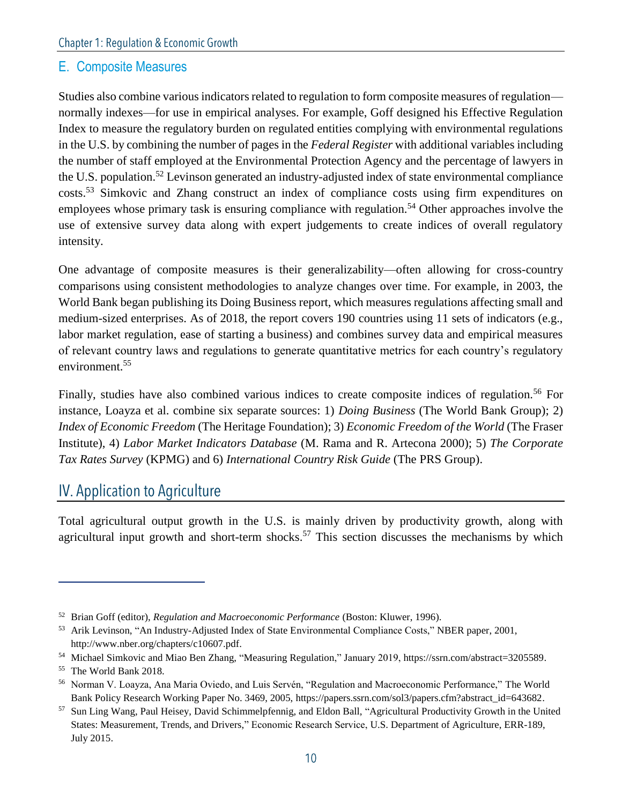#### E. Composite Measures

Studies also combine various indicators related to regulation to form composite measures of regulation normally indexes—for use in empirical analyses. For example, Goff designed his Effective Regulation Index to measure the regulatory burden on regulated entities complying with environmental regulations in the U.S. by combining the number of pages in the *Federal Register* with additional variables including the number of staff employed at the Environmental Protection Agency and the percentage of lawyers in the U.S. population.<sup>52</sup> Levinson generated an industry-adjusted index of state environmental compliance costs.<sup>53</sup> Simkovic and Zhang construct an index of compliance costs using firm expenditures on employees whose primary task is ensuring compliance with regulation.<sup>54</sup> Other approaches involve the use of extensive survey data along with expert judgements to create indices of overall regulatory intensity.

One advantage of composite measures is their generalizability—often allowing for cross-country comparisons using consistent methodologies to analyze changes over time. For example, in 2003, the World Bank began publishing its Doing Business report, which measures regulations affecting small and medium-sized enterprises. As of 2018, the report covers 190 countries using 11 sets of indicators (e.g., labor market regulation, ease of starting a business) and combines survey data and empirical measures of relevant country laws and regulations to generate quantitative metrics for each country's regulatory environment.<sup>55</sup>

Finally, studies have also combined various indices to create composite indices of regulation.<sup>56</sup> For instance, Loayza et al. combine six separate sources: 1) *Doing Business* (The World Bank Group); 2) *Index of Economic Freedom* (The Heritage Foundation); 3) *Economic Freedom of the World* (The Fraser Institute), 4) *Labor Market Indicators Database* (M. Rama and R. Artecona 2000); 5) *The Corporate Tax Rates Survey* (KPMG) and 6) *International Country Risk Guide* (The PRS Group).

#### IV. Application to Agriculture

Total agricultural output growth in the U.S. is mainly driven by productivity growth, along with agricultural input growth and short-term shocks.<sup>57</sup> This section discusses the mechanisms by which

<sup>52</sup> Brian Goff (editor), *Regulation and Macroeconomic Performance* (Boston: Kluwer, 1996).

<sup>53</sup> Arik Levinson, "An Industry-Adjusted Index of State Environmental Compliance Costs," NBER paper, 2001, http://www.nber.org/chapters/c10607.pdf.

<sup>54</sup> Michael Simkovic and Miao Ben Zhang, "Measuring Regulation," January 2019, https://ssrn.com/abstract=3205589.

<sup>55</sup> The World Bank 2018.

<sup>56</sup> Norman V. Loayza, Ana Maria Oviedo, and Luis Servén, "Regulation and Macroeconomic Performance," The World Bank Policy Research Working Paper No. 3469, 2005, https://papers.ssrn.com/sol3/papers.cfm?abstract\_id=643682.

<sup>57</sup> Sun Ling Wang, Paul Heisey, David Schimmelpfennig, and Eldon Ball, "Agricultural Productivity Growth in the United States: Measurement, Trends, and Drivers," Economic Research Service, U.S. Department of Agriculture, ERR-189, July 2015.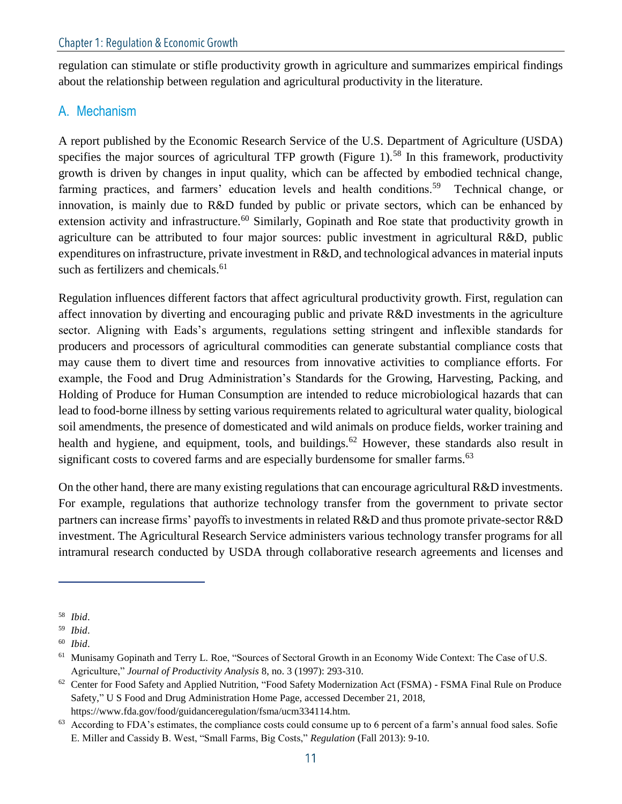regulation can stimulate or stifle productivity growth in agriculture and summarizes empirical findings about the relationship between regulation and agricultural productivity in the literature.

#### A. Mechanism

A report published by the Economic Research Service of the U.S. Department of Agriculture (USDA) specifies the major sources of agricultural TFP growth (Figure 1).<sup>58</sup> In this framework, productivity growth is driven by changes in input quality, which can be affected by embodied technical change, farming practices, and farmers' education levels and health conditions.<sup>59</sup> Technical change, or innovation, is mainly due to R&D funded by public or private sectors, which can be enhanced by extension activity and infrastructure.<sup>60</sup> Similarly, Gopinath and Roe state that productivity growth in agriculture can be attributed to four major sources: public investment in agricultural R&D, public expenditures on infrastructure, private investment in R&D, and technological advances in material inputs such as fertilizers and chemicals.<sup>61</sup>

Regulation influences different factors that affect agricultural productivity growth. First, regulation can affect innovation by diverting and encouraging public and private R&D investments in the agriculture sector. Aligning with Eads's arguments, regulations setting stringent and inflexible standards for producers and processors of agricultural commodities can generate substantial compliance costs that may cause them to divert time and resources from innovative activities to compliance efforts. For example, the Food and Drug Administration's Standards for the Growing, Harvesting, Packing, and Holding of Produce for Human Consumption are intended to reduce microbiological hazards that can lead to food-borne illness by setting various requirements related to agricultural water quality, biological soil amendments, the presence of domesticated and wild animals on produce fields, worker training and health and hygiene, and equipment, tools, and buildings.<sup>62</sup> However, these standards also result in significant costs to covered farms and are especially burdensome for smaller farms.<sup>63</sup>

On the other hand, there are many existing regulations that can encourage agricultural R&D investments. For example, regulations that authorize technology transfer from the government to private sector partners can increase firms' payoffs to investments in related R&D and thus promote private-sector R&D investment. The Agricultural Research Service administers various technology transfer programs for all intramural research conducted by USDA through collaborative research agreements and licenses and

<sup>58</sup> *Ibid*.

<sup>59</sup> *Ibid*.

<sup>60</sup> *Ibid*.

<sup>&</sup>lt;sup>61</sup> Munisamy Gopinath and Terry L. Roe, "Sources of Sectoral Growth in an Economy Wide Context: The Case of U.S. Agriculture," *Journal of Productivity Analysis* 8, no. 3 (1997): 293-310.

 $62$  Center for Food Safety and Applied Nutrition, "Food Safety Modernization Act (FSMA) - FSMA Final Rule on Produce Safety," U S Food and Drug Administration Home Page, accessed December 21, 2018, https://www.fda.gov/food/guidanceregulation/fsma/ucm334114.htm.

 $63$  According to FDA's estimates, the compliance costs could consume up to 6 percent of a farm's annual food sales. Sofie E. Miller and Cassidy B. West, "Small Farms, Big Costs," *Regulation* (Fall 2013): 9-10.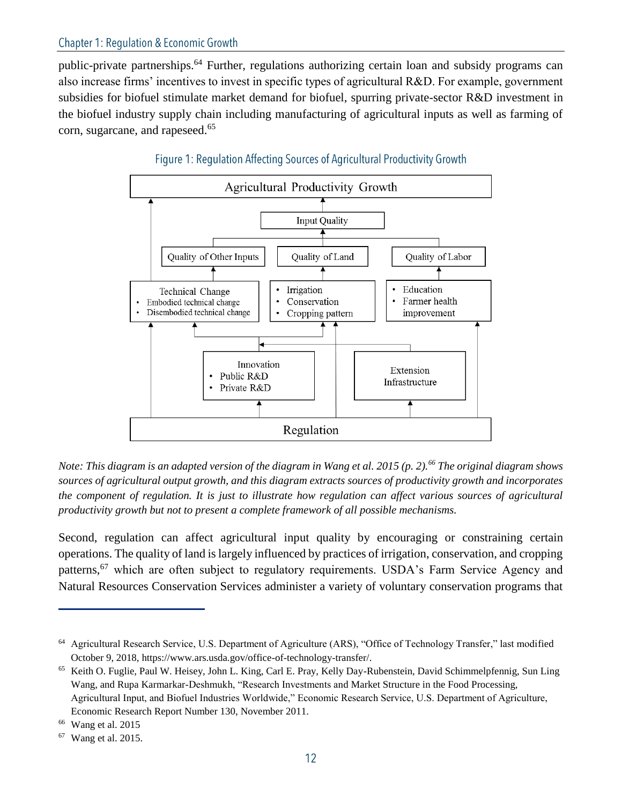public-private partnerships.<sup>64</sup> Further, regulations authorizing certain loan and subsidy programs can also increase firms' incentives to invest in specific types of agricultural R&D. For example, government subsidies for biofuel stimulate market demand for biofuel, spurring private-sector R&D investment in the biofuel industry supply chain including manufacturing of agricultural inputs as well as farming of corn, sugarcane, and rapeseed.<sup>65</sup>





*Note: This diagram is an adapted version of the diagram in Wang et al. 2015 (p. 2).<sup>66</sup> The original diagram shows sources of agricultural output growth, and this diagram extracts sources of productivity growth and incorporates the component of regulation. It is just to illustrate how regulation can affect various sources of agricultural productivity growth but not to present a complete framework of all possible mechanisms.*

Second, regulation can affect agricultural input quality by encouraging or constraining certain operations. The quality of land is largely influenced by practices of irrigation, conservation, and cropping patterns,<sup>67</sup> which are often subject to regulatory requirements. USDA's Farm Service Agency and Natural Resources Conservation Services administer a variety of voluntary conservation programs that

<sup>64</sup> Agricultural Research Service, U.S. Department of Agriculture (ARS), "Office of Technology Transfer," last modified October 9, 2018, https://www.ars.usda.gov/office-of-technology-transfer/.

<sup>65</sup> Keith O. Fuglie, Paul W. Heisey, John L. King, Carl E. Pray, Kelly Day-Rubenstein, David Schimmelpfennig, Sun Ling Wang, and Rupa Karmarkar-Deshmukh, "Research Investments and Market Structure in the Food Processing, Agricultural Input, and Biofuel Industries Worldwide," Economic Research Service, U.S. Department of Agriculture, Economic Research Report Number 130, November 2011.

 $66$  Wang et al. 2015

<sup>67</sup> Wang et al. 2015.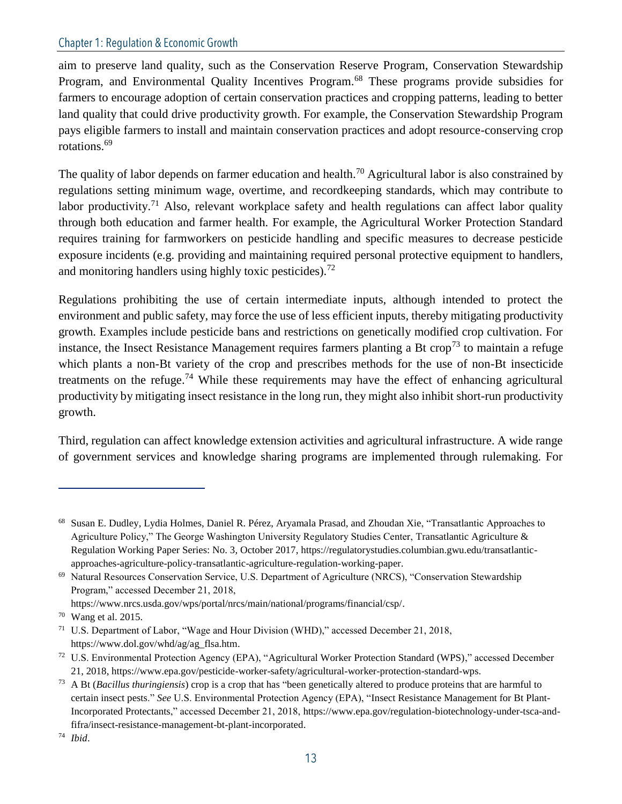aim to preserve land quality, such as the Conservation Reserve Program, Conservation Stewardship Program, and Environmental Quality Incentives Program.<sup>68</sup> These programs provide subsidies for farmers to encourage adoption of certain conservation practices and cropping patterns, leading to better land quality that could drive productivity growth. For example, the Conservation Stewardship Program pays eligible farmers to install and maintain conservation practices and adopt resource-conserving crop rotations.<sup>69</sup>

The quality of labor depends on farmer education and health.<sup>70</sup> Agricultural labor is also constrained by regulations setting minimum wage, overtime, and recordkeeping standards, which may contribute to labor productivity.<sup>71</sup> Also, relevant workplace safety and health regulations can affect labor quality through both education and farmer health. For example, the Agricultural Worker Protection Standard requires training for farmworkers on pesticide handling and specific measures to decrease pesticide exposure incidents (e.g. providing and maintaining required personal protective equipment to handlers, and monitoring handlers using highly toxic pesticides).<sup>72</sup>

Regulations prohibiting the use of certain intermediate inputs, although intended to protect the environment and public safety, may force the use of less efficient inputs, thereby mitigating productivity growth. Examples include pesticide bans and restrictions on genetically modified crop cultivation. For instance, the Insect Resistance Management requires farmers planting a Bt crop<sup>73</sup> to maintain a refuge which plants a non-Bt variety of the crop and prescribes methods for the use of non-Bt insecticide treatments on the refuge.<sup>74</sup> While these requirements may have the effect of enhancing agricultural productivity by mitigating insect resistance in the long run, they might also inhibit short-run productivity growth.

Third, regulation can affect knowledge extension activities and agricultural infrastructure. A wide range of government services and knowledge sharing programs are implemented through rulemaking. For

<sup>68</sup> Susan E. Dudley, Lydia Holmes, Daniel R. Pérez, Aryamala Prasad, and Zhoudan Xie, "Transatlantic Approaches to Agriculture Policy," The George Washington University Regulatory Studies Center, Transatlantic Agriculture & Regulation Working Paper Series: No. 3, October 2017, https://regulatorystudies.columbian.gwu.edu/transatlanticapproaches-agriculture-policy-transatlantic-agriculture-regulation-working-paper.

<sup>69</sup> Natural Resources Conservation Service, U.S. Department of Agriculture (NRCS), "Conservation Stewardship Program," accessed December 21, 2018,

https://www.nrcs.usda.gov/wps/portal/nrcs/main/national/programs/financial/csp/.

<sup>70</sup> Wang et al. 2015.

<sup>71</sup> U.S. Department of Labor, "Wage and Hour Division (WHD)," accessed December 21, 2018, https://www.dol.gov/whd/ag/ag\_flsa.htm.

<sup>72</sup> U.S. Environmental Protection Agency (EPA), "Agricultural Worker Protection Standard (WPS)," accessed December 21, 2018, https://www.epa.gov/pesticide-worker-safety/agricultural-worker-protection-standard-wps.

<sup>73</sup> A Bt (*Bacillus thuringiensis*) crop is a crop that has "been genetically altered to produce proteins that are harmful to certain insect pests." *See* U.S. Environmental Protection Agency (EPA), "Insect Resistance Management for Bt Plant-Incorporated Protectants," accessed December 21, 2018, https://www.epa.gov/regulation-biotechnology-under-tsca-andfifra/insect-resistance-management-bt-plant-incorporated.

<sup>74</sup> *Ibid*.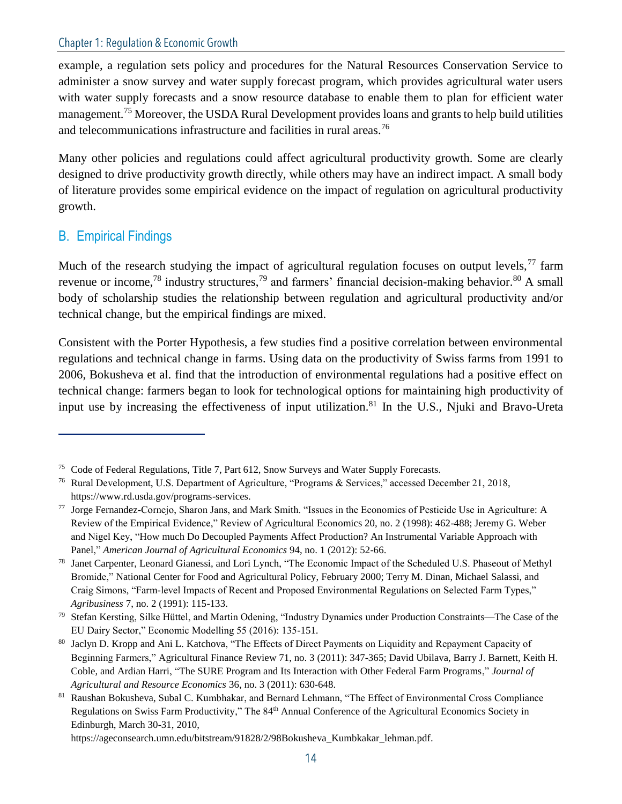example, a regulation sets policy and procedures for the Natural Resources Conservation Service to administer a snow survey and water supply forecast program, which provides agricultural water users with water supply forecasts and a snow resource database to enable them to plan for efficient water management.<sup>75</sup> Moreover, the USDA Rural Development provides loans and grants to help build utilities and telecommunications infrastructure and facilities in rural areas.<sup>76</sup>

Many other policies and regulations could affect agricultural productivity growth. Some are clearly designed to drive productivity growth directly, while others may have an indirect impact. A small body of literature provides some empirical evidence on the impact of regulation on agricultural productivity growth.

#### B. Empirical Findings

Much of the research studying the impact of agricultural regulation focuses on output levels,  $^{77}$  farm revenue or income,<sup>78</sup> industry structures,<sup>79</sup> and farmers' financial decision-making behavior.<sup>80</sup> A small body of scholarship studies the relationship between regulation and agricultural productivity and/or technical change, but the empirical findings are mixed.

Consistent with the Porter Hypothesis, a few studies find a positive correlation between environmental regulations and technical change in farms. Using data on the productivity of Swiss farms from 1991 to 2006, Bokusheva et al. find that the introduction of environmental regulations had a positive effect on technical change: farmers began to look for technological options for maintaining high productivity of input use by increasing the effectiveness of input utilization.<sup>81</sup> In the U.S., Njuki and Bravo-Ureta

https://ageconsearch.umn.edu/bitstream/91828/2/98Bokusheva Kumbkakar lehman.pdf.

<sup>75</sup> Code of Federal Regulations, Title 7, Part 612, Snow Surveys and Water Supply Forecasts.

<sup>76</sup> Rural Development, U.S. Department of Agriculture, "Programs & Services," accessed December 21, 2018, https://www.rd.usda.gov/programs-services.

<sup>77</sup> Jorge Fernandez-Cornejo, Sharon Jans, and Mark Smith. "Issues in the Economics of Pesticide Use in Agriculture: A Review of the Empirical Evidence," Review of Agricultural Economics 20, no. 2 (1998): 462-488; Jeremy G. Weber and Nigel Key, "How much Do Decoupled Payments Affect Production? An Instrumental Variable Approach with Panel," *American Journal of Agricultural Economics* 94, no. 1 (2012): 52-66.

<sup>78</sup> Janet Carpenter, Leonard Gianessi, and Lori Lynch, "The Economic Impact of the Scheduled U.S. Phaseout of Methyl Bromide," National Center for Food and Agricultural Policy, February 2000; Terry M. Dinan, Michael Salassi, and Craig Simons, "Farm-level Impacts of Recent and Proposed Environmental Regulations on Selected Farm Types," *Agribusiness* 7, no. 2 (1991): 115-133.

 $79$  Stefan Kersting, Silke Hüttel, and Martin Odening, "Industry Dynamics under Production Constraints—The Case of the EU Dairy Sector," Economic Modelling 55 (2016): 135-151.

<sup>80</sup> Jaclyn D. Kropp and Ani L. Katchova, "The Effects of Direct Payments on Liquidity and Repayment Capacity of Beginning Farmers," Agricultural Finance Review 71, no. 3 (2011): 347-365; David Ubilava, Barry J. Barnett, Keith H. Coble, and Ardian Harri, "The SURE Program and Its Interaction with Other Federal Farm Programs," *Journal of Agricultural and Resource Economics* 36, no. 3 (2011): 630-648.

<sup>81</sup> Raushan Bokusheva, Subal C. Kumbhakar, and Bernard Lehmann, "The Effect of Environmental Cross Compliance Regulations on Swiss Farm Productivity," The 84<sup>th</sup> Annual Conference of the Agricultural Economics Society in Edinburgh, March 30-31, 2010,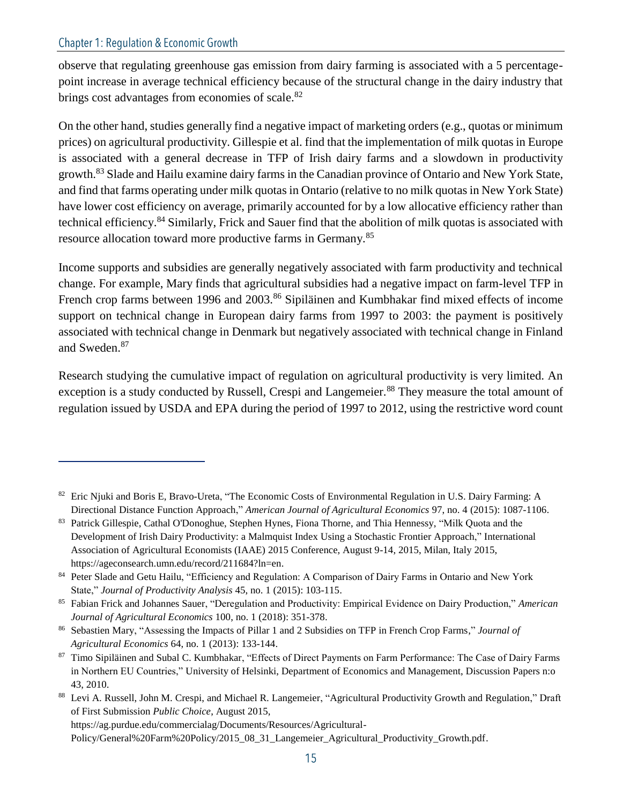observe that regulating greenhouse gas emission from dairy farming is associated with a 5 percentagepoint increase in average technical efficiency because of the structural change in the dairy industry that brings cost advantages from economies of scale.<sup>82</sup>

On the other hand, studies generally find a negative impact of marketing orders (e.g., quotas or minimum prices) on agricultural productivity. Gillespie et al. find that the implementation of milk quotas in Europe is associated with a general decrease in TFP of Irish dairy farms and a slowdown in productivity growth.<sup>83</sup> Slade and Hailu examine dairy farms in the Canadian province of Ontario and New York State, and find that farms operating under milk quotas in Ontario (relative to no milk quotas in New York State) have lower cost efficiency on average, primarily accounted for by a low allocative efficiency rather than technical efficiency.<sup>84</sup> Similarly, Frick and Sauer find that the abolition of milk quotas is associated with resource allocation toward more productive farms in Germany.<sup>85</sup>

Income supports and subsidies are generally negatively associated with farm productivity and technical change. For example, Mary finds that agricultural subsidies had a negative impact on farm-level TFP in French crop farms between 1996 and 2003.<sup>86</sup> Sipiläinen and Kumbhakar find mixed effects of income support on technical change in European dairy farms from 1997 to 2003: the payment is positively associated with technical change in Denmark but negatively associated with technical change in Finland and Sweden.<sup>87</sup>

Research studying the cumulative impact of regulation on agricultural productivity is very limited. An exception is a study conducted by Russell, Crespi and Langemeier.<sup>88</sup> They measure the total amount of regulation issued by USDA and EPA during the period of 1997 to 2012, using the restrictive word count

<sup>&</sup>lt;sup>82</sup> Eric Njuki and Boris E, Bravo-Ureta, "The Economic Costs of Environmental Regulation in U.S. Dairy Farming: A Directional Distance Function Approach," *American Journal of Agricultural Economics* 97, no. 4 (2015): 1087-1106.

<sup>83</sup> Patrick Gillespie, Cathal O'Donoghue, Stephen Hynes, Fiona Thorne, and Thia Hennessy, "Milk Quota and the Development of Irish Dairy Productivity: a Malmquist Index Using a Stochastic Frontier Approach," International Association of Agricultural Economists (IAAE) 2015 Conference, August 9-14, 2015, Milan, Italy 2015, https://ageconsearch.umn.edu/record/211684?ln=en.

<sup>84</sup> Peter Slade and Getu Hailu, "Efficiency and Regulation: A Comparison of Dairy Farms in Ontario and New York State," *Journal of Productivity Analysis* 45, no. 1 (2015): 103-115.

<sup>85</sup> Fabian Frick and Johannes Sauer, "Deregulation and Productivity: Empirical Evidence on Dairy Production," *American Journal of Agricultural Economics* 100, no. 1 (2018): 351-378.

<sup>86</sup> Sebastien Mary, "Assessing the Impacts of Pillar 1 and 2 Subsidies on TFP in French Crop Farms," *Journal of Agricultural Economics* 64, no. 1 (2013): 133-144.

<sup>87</sup> Timo Sipiläinen and Subal C. Kumbhakar, "Effects of Direct Payments on Farm Performance: The Case of Dairy Farms in Northern EU Countries," University of Helsinki, Department of Economics and Management, Discussion Papers n:o 43, 2010.

<sup>88</sup> Levi A. Russell, John M. Crespi, and Michael R. Langemeier, "Agricultural Productivity Growth and Regulation," Draft of First Submission *Public Choice*, August 2015,

https://ag.purdue.edu/commercialag/Documents/Resources/Agricultural-

Policy/General%20Farm%20Policy/2015\_08\_31\_Langemeier\_Agricultural\_Productivity\_Growth.pdf.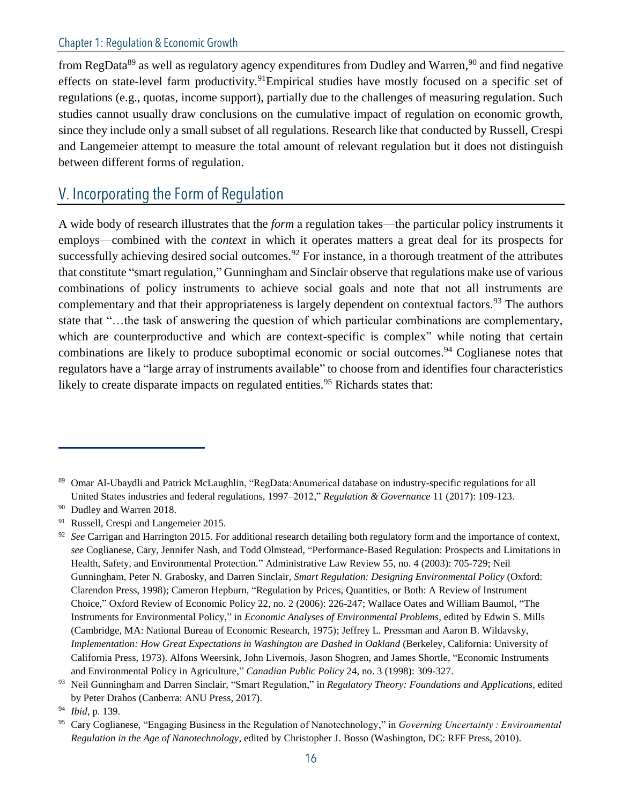from RegData<sup>89</sup> as well as regulatory agency expenditures from Dudley and Warren,<sup>90</sup> and find negative effects on state-level farm productivity.<sup>91</sup>Empirical studies have mostly focused on a specific set of regulations (e.g., quotas, income support), partially due to the challenges of measuring regulation. Such studies cannot usually draw conclusions on the cumulative impact of regulation on economic growth, since they include only a small subset of all regulations. Research like that conducted by Russell, Crespi and Langemeier attempt to measure the total amount of relevant regulation but it does not distinguish between different forms of regulation.

### V. Incorporating the Form of Regulation

A wide body of research illustrates that the *form* a regulation takes—the particular policy instruments it employs—combined with the *context* in which it operates matters a great deal for its prospects for successfully achieving desired social outcomes.<sup>92</sup> For instance, in a thorough treatment of the attributes that constitute "smart regulation," Gunningham and Sinclair observe that regulations make use of various combinations of policy instruments to achieve social goals and note that not all instruments are complementary and that their appropriateness is largely dependent on contextual factors.<sup>93</sup> The authors state that "…the task of answering the question of which particular combinations are complementary, which are counterproductive and which are context-specific is complex" while noting that certain combinations are likely to produce suboptimal economic or social outcomes.<sup>94</sup> Coglianese notes that regulators have a "large array of instruments available" to choose from and identifies four characteristics likely to create disparate impacts on regulated entities.<sup>95</sup> Richards states that:

<sup>89</sup> Omar Al-Ubaydli and Patrick McLaughlin, "RegData:Anumerical database on industry-specific regulations for all United States industries and federal regulations, 1997–2012," *Regulation & Governance* 11 (2017): 109-123.

<sup>&</sup>lt;sup>90</sup> Dudley and Warren 2018.

<sup>&</sup>lt;sup>91</sup> Russell, Crespi and Langemeier 2015.

<sup>&</sup>lt;sup>92</sup> *See* Carrigan and Harrington 2015. For additional research detailing both regulatory form and the importance of context, *see* Coglianese, Cary, Jennifer Nash, and Todd Olmstead, "Performance-Based Regulation: Prospects and Limitations in Health, Safety, and Environmental Protection." Administrative Law Review 55, no. 4 (2003): 705-729; Neil Gunningham, Peter N. Grabosky, and Darren Sinclair, *Smart Regulation: Designing Environmental Policy* (Oxford: Clarendon Press, 1998); Cameron Hepburn, "Regulation by Prices, Quantities, or Both: A Review of Instrument Choice," Oxford Review of Economic Policy 22, no. 2 (2006): 226-247; Wallace Oates and William Baumol, "The Instruments for Environmental Policy," in *Economic Analyses of Environmental Problems*, edited by Edwin S. Mills (Cambridge, MA: National Bureau of Economic Research, 1975); Jeffrey L. Pressman and Aaron B. Wildavsky, *Implementation: How Great Expectations in Washington are Dashed in Oakland* (Berkeley, California: University of California Press, 1973). Alfons Weersink, John Livernois, Jason Shogren, and James Shortle, "Economic Instruments and Environmental Policy in Agriculture," *Canadian Public Policy* 24, no. 3 (1998): 309-327.

<sup>93</sup> Neil Gunningham and Darren Sinclair, "Smart Regulation," in *Regulatory Theory: Foundations and Applications*, edited by Peter Drahos (Canberra: ANU Press, 2017).

<sup>94</sup> *Ibid*, p. 139.

<sup>95</sup> Cary Coglianese, "Engaging Business in the Regulation of Nanotechnology," in *Governing Uncertainty : Environmental Regulation in the Age of Nanotechnology*, edited by Christopher J. Bosso (Washington, DC: RFF Press, 2010).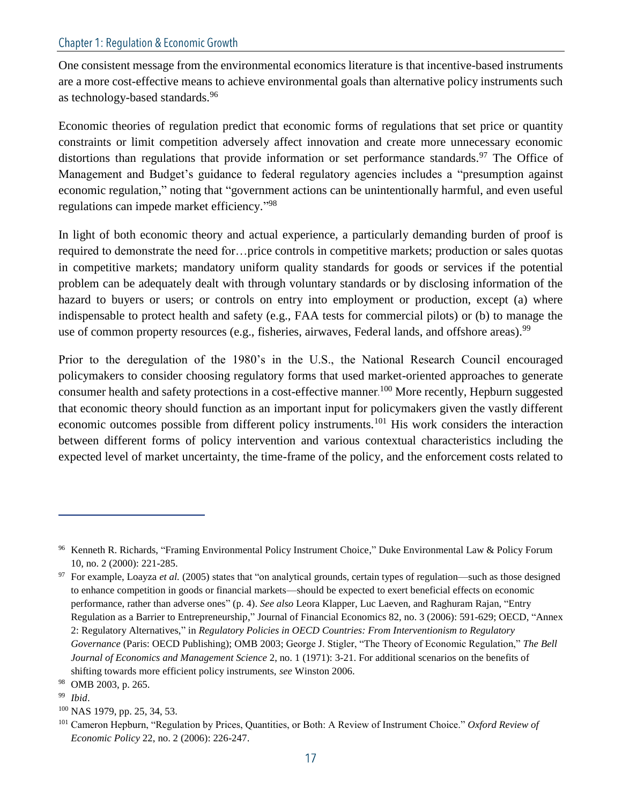One consistent message from the environmental economics literature is that incentive-based instruments are a more cost-effective means to achieve environmental goals than alternative policy instruments such as technology-based standards.<sup>96</sup>

Economic theories of regulation predict that economic forms of regulations that set price or quantity constraints or limit competition adversely affect innovation and create more unnecessary economic distortions than regulations that provide information or set performance standards.<sup>97</sup> The Office of Management and Budget's guidance to federal regulatory agencies includes a "presumption against economic regulation," noting that "government actions can be unintentionally harmful, and even useful regulations can impede market efficiency."<sup>98</sup>

In light of both economic theory and actual experience, a particularly demanding burden of proof is required to demonstrate the need for…price controls in competitive markets; production or sales quotas in competitive markets; mandatory uniform quality standards for goods or services if the potential problem can be adequately dealt with through voluntary standards or by disclosing information of the hazard to buyers or users; or controls on entry into employment or production, except (a) where indispensable to protect health and safety (e.g., FAA tests for commercial pilots) or (b) to manage the use of common property resources (e.g., fisheries, airwaves, Federal lands, and offshore areas).<sup>99</sup>

Prior to the deregulation of the 1980's in the U.S., the National Research Council encouraged policymakers to consider choosing regulatory forms that used market-oriented approaches to generate consumer health and safety protections in a cost-effective manner.<sup>100</sup> More recently, Hepburn suggested that economic theory should function as an important input for policymakers given the vastly different economic outcomes possible from different policy instruments.<sup>101</sup> His work considers the interaction between different forms of policy intervention and various contextual characteristics including the expected level of market uncertainty, the time-frame of the policy, and the enforcement costs related to

<sup>96</sup> Kenneth R. Richards, "Framing Environmental Policy Instrument Choice," Duke Environmental Law & Policy Forum 10, no. 2 (2000): 221-285.

<sup>&</sup>lt;sup>97</sup> For example, Loayza et al. (2005) states that "on analytical grounds, certain types of regulation—such as those designed to enhance competition in goods or financial markets—should be expected to exert beneficial effects on economic performance, rather than adverse ones" (p. 4). *See also* Leora Klapper, Luc Laeven, and Raghuram Rajan, "Entry Regulation as a Barrier to Entrepreneurship," Journal of Financial Economics 82, no. 3 (2006): 591-629; OECD, "Annex 2: Regulatory Alternatives," in *Regulatory Policies in OECD Countries: From Interventionism to Regulatory Governance* (Paris: OECD Publishing); OMB 2003; George J. Stigler, "The Theory of Economic Regulation," *The Bell Journal of Economics and Management Science* 2, no. 1 (1971): 3-21. For additional scenarios on the benefits of shifting towards more efficient policy instruments, *see* Winston 2006.

<sup>98</sup> OMB 2003, p. 265.

<sup>99</sup> *Ibid*.

<sup>100</sup> NAS 1979, pp. 25, 34, 53.

<sup>101</sup> Cameron Hepburn, "Regulation by Prices, Quantities, or Both: A Review of Instrument Choice." *Oxford Review of Economic Policy* 22, no. 2 (2006): 226-247.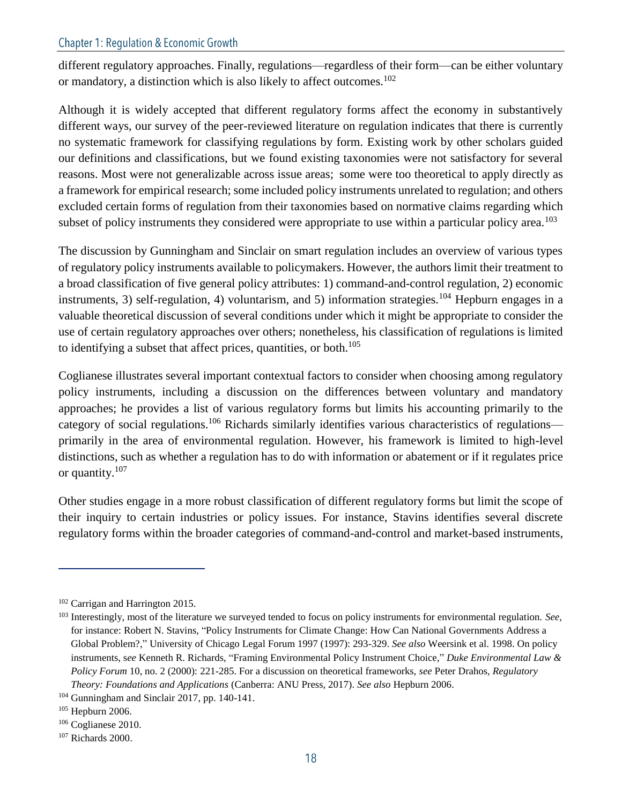different regulatory approaches. Finally, regulations—regardless of their form—can be either voluntary or mandatory, a distinction which is also likely to affect outcomes.<sup>102</sup>

Although it is widely accepted that different regulatory forms affect the economy in substantively different ways, our survey of the peer-reviewed literature on regulation indicates that there is currently no systematic framework for classifying regulations by form. Existing work by other scholars guided our definitions and classifications, but we found existing taxonomies were not satisfactory for several reasons. Most were not generalizable across issue areas; some were too theoretical to apply directly as a framework for empirical research; some included policy instruments unrelated to regulation; and others excluded certain forms of regulation from their taxonomies based on normative claims regarding which subset of policy instruments they considered were appropriate to use within a particular policy area.<sup>103</sup>

The discussion by Gunningham and Sinclair on smart regulation includes an overview of various types of regulatory policy instruments available to policymakers. However, the authors limit their treatment to a broad classification of five general policy attributes: 1) command-and-control regulation, 2) economic instruments, 3) self-regulation, 4) voluntarism, and 5) information strategies.<sup>104</sup> Hepburn engages in a valuable theoretical discussion of several conditions under which it might be appropriate to consider the use of certain regulatory approaches over others; nonetheless, his classification of regulations is limited to identifying a subset that affect prices, quantities, or both. $105$ 

Coglianese illustrates several important contextual factors to consider when choosing among regulatory policy instruments, including a discussion on the differences between voluntary and mandatory approaches; he provides a list of various regulatory forms but limits his accounting primarily to the category of social regulations.<sup>106</sup> Richards similarly identifies various characteristics of regulations primarily in the area of environmental regulation. However, his framework is limited to high-level distinctions, such as whether a regulation has to do with information or abatement or if it regulates price or quantity.<sup>107</sup>

Other studies engage in a more robust classification of different regulatory forms but limit the scope of their inquiry to certain industries or policy issues. For instance, Stavins identifies several discrete regulatory forms within the broader categories of command-and-control and market-based instruments,

<sup>102</sup> Carrigan and Harrington 2015.

<sup>103</sup> Interestingly, most of the literature we surveyed tended to focus on policy instruments for environmental regulation. *See*, for instance: Robert N. Stavins, "Policy Instruments for Climate Change: How Can National Governments Address a Global Problem?," University of Chicago Legal Forum 1997 (1997): 293-329. *See also* Weersink et al. 1998. On policy instruments, s*ee* Kenneth R. Richards, "Framing Environmental Policy Instrument Choice," *Duke Environmental Law & Policy Forum* 10, no. 2 (2000): 221-285. For a discussion on theoretical frameworks, *see* Peter Drahos, *Regulatory Theory: Foundations and Applications* (Canberra: ANU Press, 2017). *See also* Hepburn 2006.

<sup>104</sup> Gunningham and Sinclair 2017, pp. 140-141.

<sup>105</sup> Hepburn 2006.

<sup>106</sup> Coglianese 2010.

<sup>107</sup> Richards 2000.